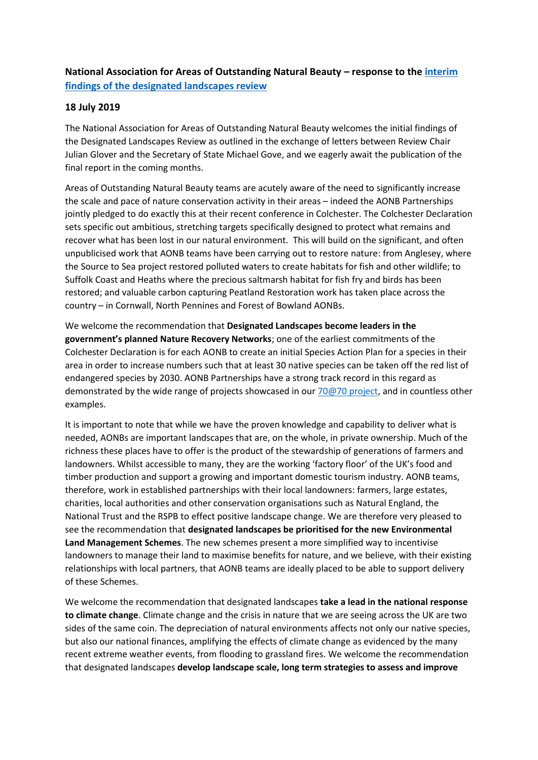**National Association for Areas of Outstanding Natural Beauty – response to the [interim](https://assets.publishing.service.gov.uk/government/uploads/system/uploads/attachment_data/file/817608/landscapes-review-interim-findings-july2019.pdf)  [findings of the designated landscapes review](https://assets.publishing.service.gov.uk/government/uploads/system/uploads/attachment_data/file/817608/landscapes-review-interim-findings-july2019.pdf)**

## **18 July 2019**

The National Association for Areas of Outstanding Natural Beauty welcomes the initial findings of the Designated Landscapes Review as outlined in the exchange of letters between Review Chair Julian Glover and the Secretary of State Michael Gove, and we eagerly await the publication of the final report in the coming months.

Areas of Outstanding Natural Beauty teams are acutely aware of the need to significantly increase the scale and pace of nature conservation activity in their areas – indeed the AONB Partnerships jointly pledged to do exactly this at their recent conference in Colchester. The Colchester Declaration sets specific out ambitious, stretching targets specifically designed to protect what remains and recover what has been lost in our natural environment. This will build on the significant, and often unpublicised work that AONB teams have been carrying out to restore nature: from Anglesey, where the Source to Sea project restored polluted waters to create habitats for fish and other wildlife; to Suffolk Coast and Heaths where the precious saltmarsh habitat for fish fry and birds has been restored; and valuable carbon capturing Peatland Restoration work has taken place across the country – in Cornwall, North Pennines and Forest of Bowland AONBs.

We welcome the recommendation that **Designated Landscapes become leaders in the government's planned Nature Recovery Networks**; one of the earliest commitments of the Colchester Declaration is for each AONB to create an initial Species Action Plan for a species in their area in order to increase numbers such that at least 30 native species can be taken off the red list of endangered species by 2030. AONB Partnerships have a strong track record in this regard as demonstrated by the wide range of projects showcased in ou[r 70@70 project,](https://landscapesforlife.org.uk/about-aonbs/nature-recovery-solutions) and in countless other examples.

It is important to note that while we have the proven knowledge and capability to deliver what is needed, AONBs are important landscapes that are, on the whole, in private ownership. Much of the richness these places have to offer is the product of the stewardship of generations of farmers and landowners. Whilst accessible to many, they are the working 'factory floor' of the UK's food and timber production and support a growing and important domestic tourism industry. AONB teams, therefore, work in established partnerships with their local landowners: farmers, large estates, charities, local authorities and other conservation organisations such as Natural England, the National Trust and the RSPB to effect positive landscape change. We are therefore very pleased to see the recommendation that **designated landscapes be prioritised for the new Environmental Land Management Schemes**. The new schemes present a more simplified way to incentivise landowners to manage their land to maximise benefits for nature, and we believe, with their existing relationships with local partners, that AONB teams are ideally placed to be able to support delivery of these Schemes.

We welcome the recommendation that designated landscapes **take a lead in the national response to climate change**. Climate change and the crisis in nature that we are seeing across the UK are two sides of the same coin. The depreciation of natural environments affects not only our native species, but also our national finances, amplifying the effects of climate change as evidenced by the many recent extreme weather events, from flooding to grassland fires. We welcome the recommendation that designated landscapes **develop landscape scale, long term strategies to assess and improve**